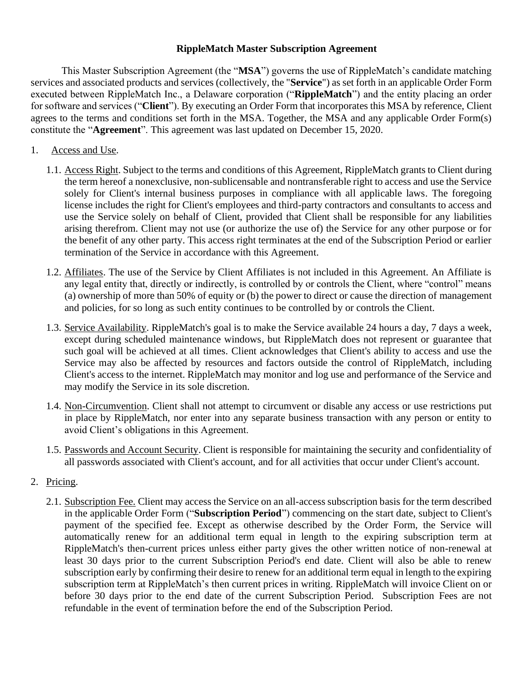## **RippleMatch Master Subscription Agreement**

This Master Subscription Agreement (the "**MSA**") governs the use of RippleMatch's candidate matching services and associated products and services (collectively, the "**Service**") as set forth in an applicable Order Form executed between RippleMatch Inc., a Delaware corporation ("**RippleMatch**") and the entity placing an order for software and services ("**Client**"). By executing an Order Form that incorporates this MSA by reference, Client agrees to the terms and conditions set forth in the MSA. Together, the MSA and any applicable Order Form(s) constitute the "**Agreement**". This agreement was last updated on December 15, 2020.

- 1. Access and Use.
	- 1.1. Access Right. Subject to the terms and conditions of this Agreement, RippleMatch grants to Client during the term hereof a nonexclusive, non-sublicensable and nontransferable right to access and use the Service solely for Client's internal business purposes in compliance with all applicable laws. The foregoing license includes the right for Client's employees and third-party contractors and consultants to access and use the Service solely on behalf of Client, provided that Client shall be responsible for any liabilities arising therefrom. Client may not use (or authorize the use of) the Service for any other purpose or for the benefit of any other party. This access right terminates at the end of the Subscription Period or earlier termination of the Service in accordance with this Agreement.
	- 1.2. Affiliates. The use of the Service by Client Affiliates is not included in this Agreement. An Affiliate is any legal entity that, directly or indirectly, is controlled by or controls the Client, where "control" means (a) ownership of more than 50% of equity or (b) the power to direct or cause the direction of management and policies, for so long as such entity continues to be controlled by or controls the Client.
	- 1.3. Service Availability. RippleMatch's goal is to make the Service available 24 hours a day, 7 days a week, except during scheduled maintenance windows, but RippleMatch does not represent or guarantee that such goal will be achieved at all times. Client acknowledges that Client's ability to access and use the Service may also be affected by resources and factors outside the control of RippleMatch, including Client's access to the internet. RippleMatch may monitor and log use and performance of the Service and may modify the Service in its sole discretion.
	- 1.4. Non-Circumvention. Client shall not attempt to circumvent or disable any access or use restrictions put in place by RippleMatch, nor enter into any separate business transaction with any person or entity to avoid Client's obligations in this Agreement.
	- 1.5. Passwords and Account Security. Client is responsible for maintaining the security and confidentiality of all passwords associated with Client's account, and for all activities that occur under Client's account.
- 2. Pricing.
	- 2.1. Subscription Fee. Client may access the Service on an all-access subscription basis for the term described in the applicable Order Form ("**Subscription Period**") commencing on the start date, subject to Client's payment of the specified fee. Except as otherwise described by the Order Form, the Service will automatically renew for an additional term equal in length to the expiring subscription term at RippleMatch's then-current prices unless either party gives the other written notice of non-renewal at least 30 days prior to the current Subscription Period's end date. Client will also be able to renew subscription early by confirming their desire to renew for an additional term equal in length to the expiring subscription term at RippleMatch's then current prices in writing. RippleMatch will invoice Client on or before 30 days prior to the end date of the current Subscription Period. Subscription Fees are not refundable in the event of termination before the end of the Subscription Period.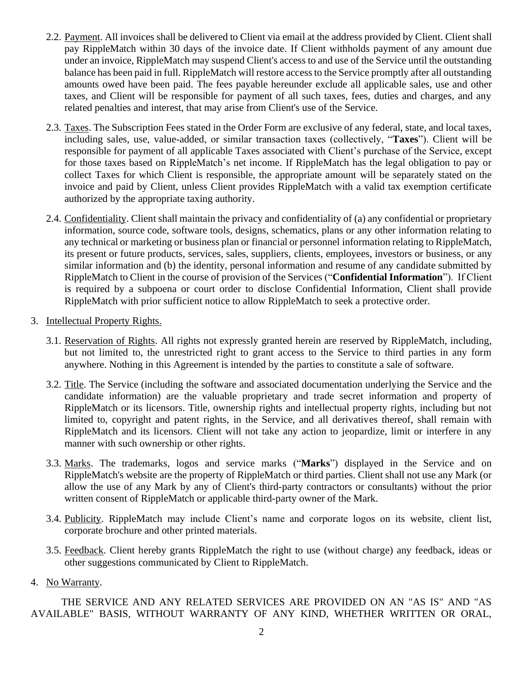- 2.2. Payment. All invoices shall be delivered to Client via email at the address provided by Client. Client shall pay RippleMatch within 30 days of the invoice date. If Client withholds payment of any amount due under an invoice, RippleMatch may suspend Client's access to and use of the Service until the outstanding balance has been paid in full. RippleMatch will restore access to the Service promptly after all outstanding amounts owed have been paid. The fees payable hereunder exclude all applicable sales, use and other taxes, and Client will be responsible for payment of all such taxes, fees, duties and charges, and any related penalties and interest, that may arise from Client's use of the Service.
- 2.3. Taxes. The Subscription Fees stated in the Order Form are exclusive of any federal, state, and local taxes, including sales, use, value-added, or similar transaction taxes (collectively, "**Taxes**"). Client will be responsible for payment of all applicable Taxes associated with Client's purchase of the Service, except for those taxes based on RippleMatch's net income. If RippleMatch has the legal obligation to pay or collect Taxes for which Client is responsible, the appropriate amount will be separately stated on the invoice and paid by Client, unless Client provides RippleMatch with a valid tax exemption certificate authorized by the appropriate taxing authority.
- 2.4. Confidentiality. Client shall maintain the privacy and confidentiality of (a) any confidential or proprietary information, source code, software tools, designs, schematics, plans or any other information relating to any technical or marketing or business plan or financial or personnel information relating to RippleMatch, its present or future products, services, sales, suppliers, clients, employees, investors or business, or any similar information and (b) the identity, personal information and resume of any candidate submitted by RippleMatch to Client in the course of provision of the Services ("**Confidential Information**"). If Client is required by a subpoena or court order to disclose Confidential Information, Client shall provide RippleMatch with prior sufficient notice to allow RippleMatch to seek a protective order.
- 3. Intellectual Property Rights.
	- 3.1. Reservation of Rights. All rights not expressly granted herein are reserved by RippleMatch, including, but not limited to, the unrestricted right to grant access to the Service to third parties in any form anywhere. Nothing in this Agreement is intended by the parties to constitute a sale of software.
	- 3.2. Title. The Service (including the software and associated documentation underlying the Service and the candidate information) are the valuable proprietary and trade secret information and property of RippleMatch or its licensors. Title, ownership rights and intellectual property rights, including but not limited to, copyright and patent rights, in the Service, and all derivatives thereof, shall remain with RippleMatch and its licensors. Client will not take any action to jeopardize, limit or interfere in any manner with such ownership or other rights.
	- 3.3. Marks. The trademarks, logos and service marks ("**Marks**") displayed in the Service and on RippleMatch's website are the property of RippleMatch or third parties. Client shall not use any Mark (or allow the use of any Mark by any of Client's third-party contractors or consultants) without the prior written consent of RippleMatch or applicable third-party owner of the Mark.
	- 3.4. Publicity. RippleMatch may include Client's name and corporate logos on its website, client list, corporate brochure and other printed materials.
	- 3.5. Feedback. Client hereby grants RippleMatch the right to use (without charge) any feedback, ideas or other suggestions communicated by Client to RippleMatch.
- 4. No Warranty.

THE SERVICE AND ANY RELATED SERVICES ARE PROVIDED ON AN "AS IS" AND "AS AVAILABLE" BASIS, WITHOUT WARRANTY OF ANY KIND, WHETHER WRITTEN OR ORAL,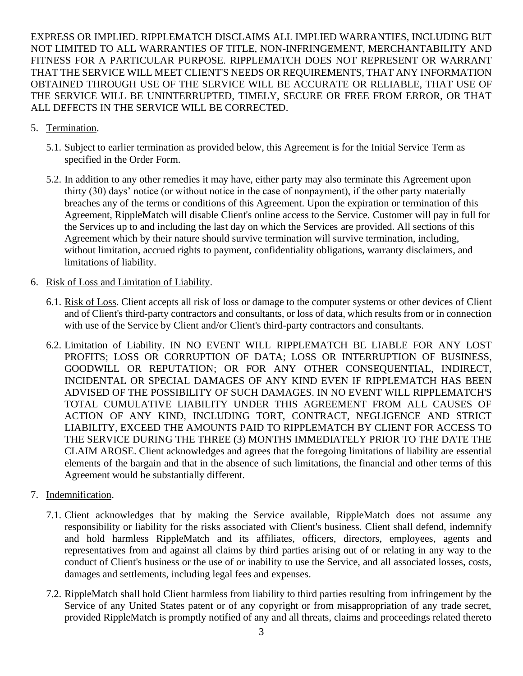EXPRESS OR IMPLIED. RIPPLEMATCH DISCLAIMS ALL IMPLIED WARRANTIES, INCLUDING BUT NOT LIMITED TO ALL WARRANTIES OF TITLE, NON-INFRINGEMENT, MERCHANTABILITY AND FITNESS FOR A PARTICULAR PURPOSE. RIPPLEMATCH DOES NOT REPRESENT OR WARRANT THAT THE SERVICE WILL MEET CLIENT'S NEEDS OR REQUIREMENTS, THAT ANY INFORMATION OBTAINED THROUGH USE OF THE SERVICE WILL BE ACCURATE OR RELIABLE, THAT USE OF THE SERVICE WILL BE UNINTERRUPTED, TIMELY, SECURE OR FREE FROM ERROR, OR THAT ALL DEFECTS IN THE SERVICE WILL BE CORRECTED.

- 5. Termination.
	- 5.1. Subject to earlier termination as provided below, this Agreement is for the Initial Service Term as specified in the Order Form.
	- 5.2. In addition to any other remedies it may have, either party may also terminate this Agreement upon thirty (30) days' notice (or without notice in the case of nonpayment), if the other party materially breaches any of the terms or conditions of this Agreement. Upon the expiration or termination of this Agreement, RippleMatch will disable Client's online access to the Service. Customer will pay in full for the Services up to and including the last day on which the Services are provided. All sections of this Agreement which by their nature should survive termination will survive termination, including, without limitation, accrued rights to payment, confidentiality obligations, warranty disclaimers, and limitations of liability.
- 6. Risk of Loss and Limitation of Liability.
	- 6.1. Risk of Loss. Client accepts all risk of loss or damage to the computer systems or other devices of Client and of Client's third-party contractors and consultants, or loss of data, which results from or in connection with use of the Service by Client and/or Client's third-party contractors and consultants.
	- 6.2. Limitation of Liability. IN NO EVENT WILL RIPPLEMATCH BE LIABLE FOR ANY LOST PROFITS; LOSS OR CORRUPTION OF DATA; LOSS OR INTERRUPTION OF BUSINESS, GOODWILL OR REPUTATION; OR FOR ANY OTHER CONSEQUENTIAL, INDIRECT, INCIDENTAL OR SPECIAL DAMAGES OF ANY KIND EVEN IF RIPPLEMATCH HAS BEEN ADVISED OF THE POSSIBILITY OF SUCH DAMAGES. IN NO EVENT WILL RIPPLEMATCH'S TOTAL CUMULATIVE LIABILITY UNDER THIS AGREEMENT FROM ALL CAUSES OF ACTION OF ANY KIND, INCLUDING TORT, CONTRACT, NEGLIGENCE AND STRICT LIABILITY, EXCEED THE AMOUNTS PAID TO RIPPLEMATCH BY CLIENT FOR ACCESS TO THE SERVICE DURING THE THREE (3) MONTHS IMMEDIATELY PRIOR TO THE DATE THE CLAIM AROSE. Client acknowledges and agrees that the foregoing limitations of liability are essential elements of the bargain and that in the absence of such limitations, the financial and other terms of this Agreement would be substantially different.
- 7. Indemnification.
	- 7.1. Client acknowledges that by making the Service available, RippleMatch does not assume any responsibility or liability for the risks associated with Client's business. Client shall defend, indemnify and hold harmless RippleMatch and its affiliates, officers, directors, employees, agents and representatives from and against all claims by third parties arising out of or relating in any way to the conduct of Client's business or the use of or inability to use the Service, and all associated losses, costs, damages and settlements, including legal fees and expenses.
	- 7.2. RippleMatch shall hold Client harmless from liability to third parties resulting from infringement by the Service of any United States patent or of any copyright or from misappropriation of any trade secret, provided RippleMatch is promptly notified of any and all threats, claims and proceedings related thereto